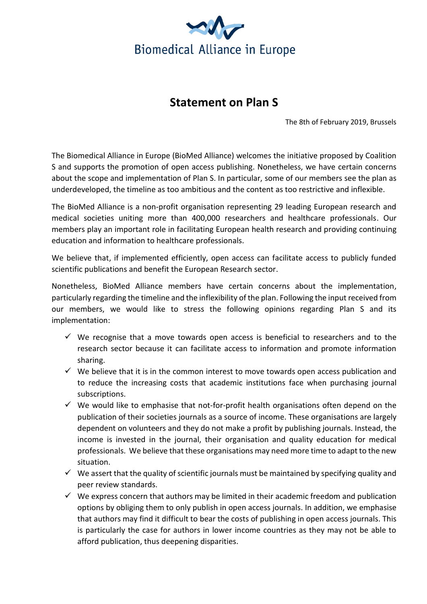

## **Statement on Plan S**

The 8th of February 2019, Brussels

The Biomedical Alliance in Europe (BioMed Alliance) welcomes the initiative proposed by Coalition S and supports the promotion of open access publishing. Nonetheless, we have certain concerns about the scope and implementation of Plan S. In particular, some of our members see the plan as underdeveloped, the timeline as too ambitious and the content as too restrictive and inflexible.

The BioMed Alliance is a non-profit organisation representing 29 leading European research and medical societies uniting more than 400,000 researchers and healthcare professionals. Our members play an important role in facilitating European health research and providing continuing education and information to healthcare professionals.

We believe that, if implemented efficiently, open access can facilitate access to publicly funded scientific publications and benefit the European Research sector.

Nonetheless, BioMed Alliance members have certain concerns about the implementation, particularly regarding the timeline and the inflexibility of the plan. Following the input received from our members, we would like to stress the following opinions regarding Plan S and its implementation:

- $\checkmark$  We recognise that a move towards open access is beneficial to researchers and to the research sector because it can facilitate access to information and promote information sharing.
- $\checkmark$  We believe that it is in the common interest to move towards open access publication and to reduce the increasing costs that academic institutions face when purchasing journal subscriptions.
- $\checkmark$  We would like to emphasise that not-for-profit health organisations often depend on the publication of their societies journals as a source of income. These organisations are largely dependent on volunteers and they do not make a profit by publishing journals. Instead, the income is invested in the journal, their organisation and quality education for medical professionals. We believe that these organisations may need more time to adapt to the new situation.
- $\checkmark$  We assert that the quality of scientific journals must be maintained by specifying quality and peer review standards.
- $\checkmark$  We express concern that authors may be limited in their academic freedom and publication options by obliging them to only publish in open access journals. In addition, we emphasise that authors may find it difficult to bear the costs of publishing in open access journals. This is particularly the case for authors in lower income countries as they may not be able to afford publication, thus deepening disparities.